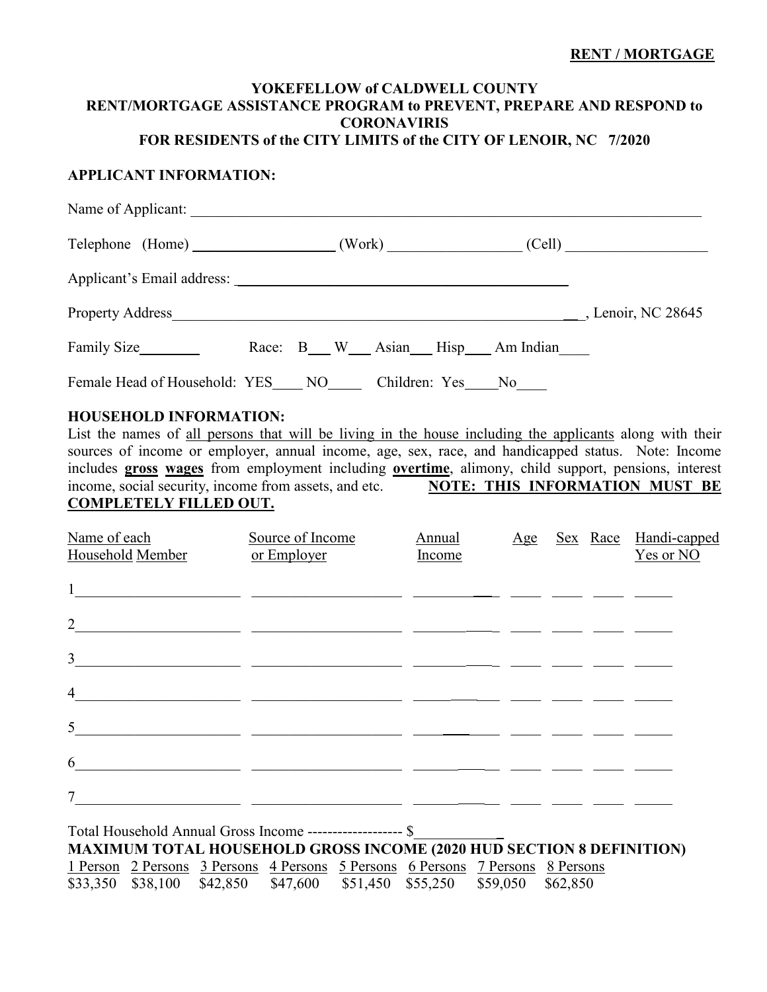### **RENT / MORTGAGE**

# **YOKEFELLOW of CALDWELL COUNTY RENT/MORTGAGE ASSISTANCE PROGRAM to PREVENT, PREPARE AND RESPOND to CORONAVIRIS**

# **FOR RESIDENTS of the CITY LIMITS of the CITY OF LENOIR, NC 7/2020**

# **APPLICANT INFORMATION:**

| Telephone (Home) _________________(Work) ____________(Cell) ____________________ |  |  |                                |  |
|----------------------------------------------------------------------------------|--|--|--------------------------------|--|
|                                                                                  |  |  |                                |  |
| Property Address Lenoir, NC 28645                                                |  |  |                                |  |
| Family Size                                                                      |  |  | Race: B W Asian Hisp Am Indian |  |
| Female Head of Household: YES NO Children: Yes No                                |  |  |                                |  |

## **HOUSEHOLD INFORMATION:**

List the names of all persons that will be living in the house including the applicants along with their sources of income or employer, annual income, age, sex, race, and handicapped status. Note: Income includes **gross wages** from employment including **overtime**, alimony, child support, pensions, interest income, social security, income from assets, and etc. **NOTE: THIS INFORMATION MUST BE COMPLETELY FILLED OUT.**

| Name of each<br>Household Member | Source of Income<br>or Employer | Annual<br>Income |  | Age Sex Race Handi-capped<br>Yes or NO |
|----------------------------------|---------------------------------|------------------|--|----------------------------------------|
| 1                                |                                 |                  |  |                                        |
| $\overline{2}$                   |                                 |                  |  |                                        |
| $\mathfrak{Z}$                   |                                 |                  |  |                                        |
| $\overline{4}$                   |                                 |                  |  |                                        |
| 5 <sup>5</sup>                   |                                 |                  |  |                                        |
| 6                                |                                 |                  |  |                                        |
| $\overline{7}$                   |                                 |                  |  |                                        |
|                                  |                                 | $\overline{a}$   |  |                                        |

Total Household Annual Gross Income ------------------- \$\_\_\_\_\_\_\_\_\_\_\_\_ **MAXIMUM TOTAL HOUSEHOLD GROSS INCOME (2020 HUD SECTION 8 DEFINITION)** 1 Person 2 Persons 3 Persons 4 Persons 5 Persons 6 Persons 7 Persons 8 Persons \$33,350 \$38,100 \$42,850 \$47,600 \$51,450 \$55,250 \$59,050 \$62,850